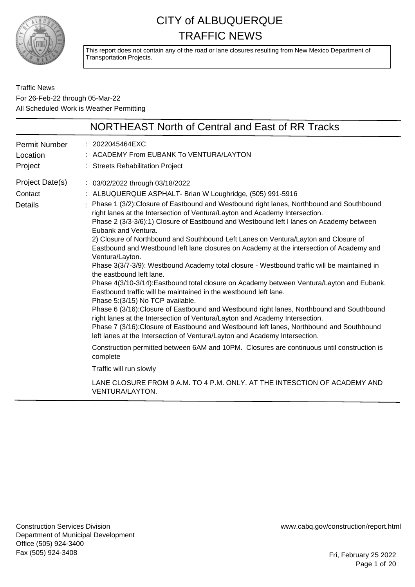

This report does not contain any of the road or lane closures resulting from New Mexico Department of Transportation Projects.

Traffic News For 26-Feb-22 through 05-Mar-22 All Scheduled Work is Weather Permitting

|                                              | NORTHEAST North of Central and East of RR Tracks                                                                                                                                                                                                                                                                                                                                                                                                                                                                                                                                                                                                                                                                                                                                                                                                                                                                                                                                                                                                                                                                                                                                                                                                                                                                                                                                                                                                                                                          |
|----------------------------------------------|-----------------------------------------------------------------------------------------------------------------------------------------------------------------------------------------------------------------------------------------------------------------------------------------------------------------------------------------------------------------------------------------------------------------------------------------------------------------------------------------------------------------------------------------------------------------------------------------------------------------------------------------------------------------------------------------------------------------------------------------------------------------------------------------------------------------------------------------------------------------------------------------------------------------------------------------------------------------------------------------------------------------------------------------------------------------------------------------------------------------------------------------------------------------------------------------------------------------------------------------------------------------------------------------------------------------------------------------------------------------------------------------------------------------------------------------------------------------------------------------------------------|
| <b>Permit Number</b><br>Location<br>Project  | : 2022045464EXC<br>: ACADEMY From EUBANK To VENTURA/LAYTON<br>: Streets Rehabilitation Project                                                                                                                                                                                                                                                                                                                                                                                                                                                                                                                                                                                                                                                                                                                                                                                                                                                                                                                                                                                                                                                                                                                                                                                                                                                                                                                                                                                                            |
| Project Date(s)<br>Contact<br><b>Details</b> | : 03/02/2022 through 03/18/2022<br>: ALBUQUERQUE ASPHALT- Brian W Loughridge, (505) 991-5916<br>: Phase 1 (3/2): Closure of Eastbound and Westbound right lanes, Northbound and Southbound<br>right lanes at the Intersection of Ventura/Layton and Academy Intersection.<br>Phase 2 (3/3-3/6):1) Closure of Eastbound and Westbound left I lanes on Academy between<br>Eubank and Ventura.<br>2) Closure of Northbound and Southbound Left Lanes on Ventura/Layton and Closure of<br>Eastbound and Westbound left lane closures on Academy at the intersection of Academy and<br>Ventura/Layton.<br>Phase 3(3/7-3/9): Westbound Academy total closure - Westbound traffic will be maintained in<br>the eastbound left lane.<br>Phase 4(3/10-3/14): Eastbound total closure on Academy between Ventura/Layton and Eubank.<br>Eastbound traffic will be maintained in the westbound left lane.<br>Phase 5:(3/15) No TCP available.<br>Phase 6 (3/16): Closure of Eastbound and Westbound right lanes, Northbound and Southbound<br>right lanes at the Intersection of Ventura/Layton and Academy Intersection.<br>Phase 7 (3/16): Closure of Eastbound and Westbound left lanes, Northbound and Southbound<br>left lanes at the Intersection of Ventura/Layton and Academy Intersection.<br>Construction permitted between 6AM and 10PM. Closures are continuous until construction is<br>complete<br>Traffic will run slowly<br>LANE CLOSURE FROM 9 A.M. TO 4 P.M. ONLY. AT THE INTESCTION OF ACADEMY AND |
|                                              | <b>VENTURA/LAYTON.</b>                                                                                                                                                                                                                                                                                                                                                                                                                                                                                                                                                                                                                                                                                                                                                                                                                                                                                                                                                                                                                                                                                                                                                                                                                                                                                                                                                                                                                                                                                    |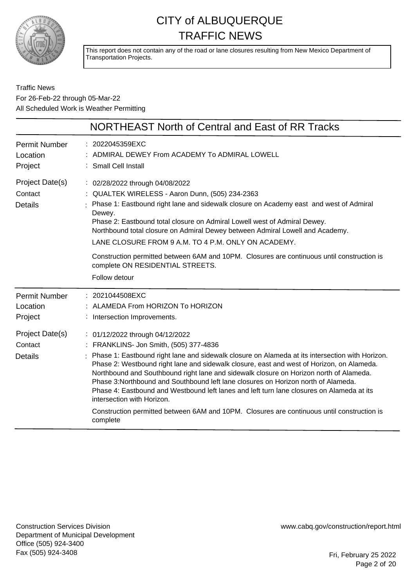

This report does not contain any of the road or lane closures resulting from New Mexico Department of Transportation Projects.

Traffic News For 26-Feb-22 through 05-Mar-22 All Scheduled Work is Weather Permitting

|                                              | NORTHEAST North of Central and East of RR Tracks                                                                                                                                                                                                                                                                                                                                                                                                                                                                                                                                                                                                                                               |
|----------------------------------------------|------------------------------------------------------------------------------------------------------------------------------------------------------------------------------------------------------------------------------------------------------------------------------------------------------------------------------------------------------------------------------------------------------------------------------------------------------------------------------------------------------------------------------------------------------------------------------------------------------------------------------------------------------------------------------------------------|
| <b>Permit Number</b><br>Location<br>Project  | : 2022045359EXC<br>: ADMIRAL DEWEY From ACADEMY To ADMIRAL LOWELL<br>: Small Cell Install                                                                                                                                                                                                                                                                                                                                                                                                                                                                                                                                                                                                      |
| Project Date(s)<br>Contact<br><b>Details</b> | : 02/28/2022 through 04/08/2022<br>: QUALTEK WIRELESS - Aaron Dunn, (505) 234-2363<br>Phase 1: Eastbound right lane and sidewalk closure on Academy east and west of Admiral<br>Dewey.<br>Phase 2: Eastbound total closure on Admiral Lowell west of Admiral Dewey.<br>Northbound total closure on Admiral Dewey between Admiral Lowell and Academy.<br>LANE CLOSURE FROM 9 A.M. TO 4 P.M. ONLY ON ACADEMY.<br>Construction permitted between 6AM and 10PM. Closures are continuous until construction is<br>complete ON RESIDENTIAL STREETS.<br>Follow detour                                                                                                                                 |
| <b>Permit Number</b><br>Location<br>Project  | : 2021044508EXC<br>: ALAMEDA From HORIZON To HORIZON<br>: Intersection Improvements.                                                                                                                                                                                                                                                                                                                                                                                                                                                                                                                                                                                                           |
| Project Date(s)<br>Contact<br>Details        | : 01/12/2022 through 04/12/2022<br>: FRANKLINS- Jon Smith, (505) 377-4836<br>Phase 1: Eastbound right lane and sidewalk closure on Alameda at its intersection with Horizon.<br>Phase 2: Westbound right lane and sidewalk closure, east and west of Horizon, on Alameda.<br>Northbound and Southbound right lane and sidewalk closure on Horizon north of Alameda.<br>Phase 3: Northbound and Southbound left lane closures on Horizon north of Alameda.<br>Phase 4: Eastbound and Westbound left lanes and left turn lane closures on Alameda at its<br>intersection with Horizon.<br>Construction permitted between 6AM and 10PM. Closures are continuous until construction is<br>complete |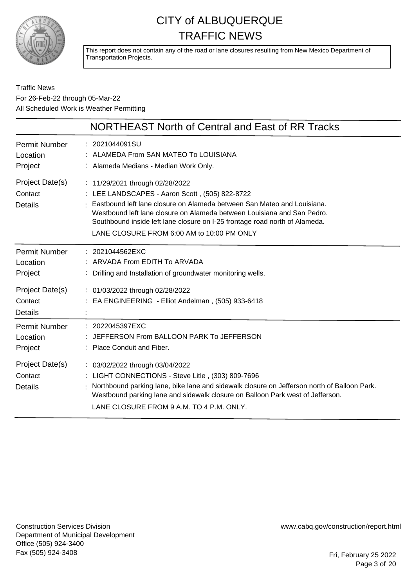

This report does not contain any of the road or lane closures resulting from New Mexico Department of Transportation Projects.

Traffic News For 26-Feb-22 through 05-Mar-22 All Scheduled Work is Weather Permitting

|                                              | NORTHEAST North of Central and East of RR Tracks                                                                                                                                                                                                                                                                                                                     |
|----------------------------------------------|----------------------------------------------------------------------------------------------------------------------------------------------------------------------------------------------------------------------------------------------------------------------------------------------------------------------------------------------------------------------|
| <b>Permit Number</b><br>Location<br>Project  | : 2021044091SU<br>: ALAMEDA From SAN MATEO To LOUISIANA<br>: Alameda Medians - Median Work Only.                                                                                                                                                                                                                                                                     |
| Project Date(s)<br>Contact<br><b>Details</b> | : 11/29/2021 through 02/28/2022<br>: LEE LANDSCAPES - Aaron Scott, (505) 822-8722<br>Eastbound left lane closure on Alameda between San Mateo and Louisiana.<br>Westbound left lane closure on Alameda between Louisiana and San Pedro.<br>Southbound inside left lane closure on I-25 frontage road north of Alameda.<br>LANE CLOSURE FROM 6:00 AM to 10:00 PM ONLY |
| <b>Permit Number</b><br>Location<br>Project  | : 2021044562EXC<br>: ARVADA From EDITH To ARVADA<br>: Drilling and Installation of groundwater monitoring wells.                                                                                                                                                                                                                                                     |
| Project Date(s)<br>Contact<br><b>Details</b> | : 01/03/2022 through 02/28/2022<br>: EA ENGINEERING - Elliot Andelman, (505) 933-6418                                                                                                                                                                                                                                                                                |
| <b>Permit Number</b><br>Location<br>Project  | : 2022045397EXC<br>JEFFERSON From BALLOON PARK To JEFFERSON<br>: Place Conduit and Fiber.                                                                                                                                                                                                                                                                            |
| Project Date(s)<br>Contact<br>Details        | : 03/02/2022 through 03/04/2022<br>: LIGHT CONNECTIONS - Steve Litle, (303) 809-7696<br>Northbound parking lane, bike lane and sidewalk closure on Jefferson north of Balloon Park.<br>Westbound parking lane and sidewalk closure on Balloon Park west of Jefferson.<br>LANE CLOSURE FROM 9 A.M. TO 4 P.M. ONLY.                                                    |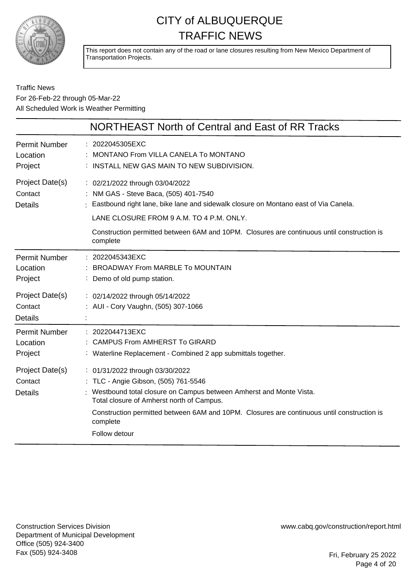

This report does not contain any of the road or lane closures resulting from New Mexico Department of Transportation Projects.

#### Traffic News For 26-Feb-22 through 05-Mar-22 All Scheduled Work is Weather Permitting

|                                              | NORTHEAST North of Central and East of RR Tracks                                                                                                                                                                                                                                                                        |
|----------------------------------------------|-------------------------------------------------------------------------------------------------------------------------------------------------------------------------------------------------------------------------------------------------------------------------------------------------------------------------|
| <b>Permit Number</b><br>Location<br>Project  | : 2022045305EXC<br>MONTANO From VILLA CANELA To MONTANO<br>INSTALL NEW GAS MAIN TO NEW SUBDIVISION.                                                                                                                                                                                                                     |
| Project Date(s)<br>Contact<br><b>Details</b> | : 02/21/2022 through 03/04/2022<br>: NM GAS - Steve Baca, (505) 401-7540<br>Eastbound right lane, bike lane and sidewalk closure on Montano east of Via Canela.<br>LANE CLOSURE FROM 9 A.M. TO 4 P.M. ONLY.<br>Construction permitted between 6AM and 10PM. Closures are continuous until construction is<br>complete   |
| <b>Permit Number</b><br>Location<br>Project  | : 2022045343EXC<br><b>BROADWAY From MARBLE To MOUNTAIN</b><br>: Demo of old pump station.                                                                                                                                                                                                                               |
| Project Date(s)<br>Contact<br><b>Details</b> | : 02/14/2022 through 05/14/2022<br>: AUI - Cory Vaughn, (505) 307-1066                                                                                                                                                                                                                                                  |
| <b>Permit Number</b><br>Location<br>Project  | : 2022044713EXC<br><b>CAMPUS From AMHERST To GIRARD</b><br>: Waterline Replacement - Combined 2 app submittals together.                                                                                                                                                                                                |
| Project Date(s)<br>Contact<br><b>Details</b> | : 01/31/2022 through 03/30/2022<br>: TLC - Angie Gibson, (505) 761-5546<br>: Westbound total closure on Campus between Amherst and Monte Vista.<br>Total closure of Amherst north of Campus.<br>Construction permitted between 6AM and 10PM. Closures are continuous until construction is<br>complete<br>Follow detour |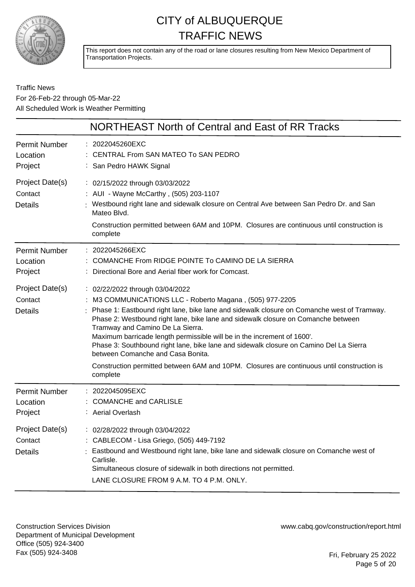

This report does not contain any of the road or lane closures resulting from New Mexico Department of Transportation Projects.

Traffic News For 26-Feb-22 through 05-Mar-22 All Scheduled Work is Weather Permitting

|                                              | NORTHEAST North of Central and East of RR Tracks                                                                                                                                                                                                                                                                                                                                                                                                                                                                                                                                                                                       |
|----------------------------------------------|----------------------------------------------------------------------------------------------------------------------------------------------------------------------------------------------------------------------------------------------------------------------------------------------------------------------------------------------------------------------------------------------------------------------------------------------------------------------------------------------------------------------------------------------------------------------------------------------------------------------------------------|
| Permit Number<br>Location<br>Project         | : 2022045260EXC<br>CENTRAL From SAN MATEO To SAN PEDRO<br>: San Pedro HAWK Signal                                                                                                                                                                                                                                                                                                                                                                                                                                                                                                                                                      |
| Project Date(s)<br>Contact<br><b>Details</b> | : 02/15/2022 through 03/03/2022<br>: AUI - Wayne McCarthy, (505) 203-1107<br>Westbound right lane and sidewalk closure on Central Ave between San Pedro Dr. and San<br>Mateo Blvd.<br>Construction permitted between 6AM and 10PM. Closures are continuous until construction is<br>complete                                                                                                                                                                                                                                                                                                                                           |
| <b>Permit Number</b><br>Location<br>Project  | : 2022045266EXC<br>COMANCHE From RIDGE POINTE To CAMINO DE LA SIERRA<br>Directional Bore and Aerial fiber work for Comcast.                                                                                                                                                                                                                                                                                                                                                                                                                                                                                                            |
| Project Date(s)<br>Contact<br><b>Details</b> | : 02/22/2022 through 03/04/2022<br>: M3 COMMUNICATIONS LLC - Roberto Magana, (505) 977-2205<br>Phase 1: Eastbound right lane, bike lane and sidewalk closure on Comanche west of Tramway.<br>Phase 2: Westbound right lane, bike lane and sidewalk closure on Comanche between<br>Tramway and Camino De La Sierra.<br>Maximum barricade length permissible will be in the increment of 1600'.<br>Phase 3: Southbound right lane, bike lane and sidewalk closure on Camino Del La Sierra<br>between Comanche and Casa Bonita.<br>Construction permitted between 6AM and 10PM. Closures are continuous until construction is<br>complete |
| <b>Permit Number</b><br>Location<br>Project  | : 2022045095EXC<br><b>COMANCHE and CARLISLE</b><br>: Aerial Overlash                                                                                                                                                                                                                                                                                                                                                                                                                                                                                                                                                                   |
| Project Date(s)<br>Contact<br><b>Details</b> | : 02/28/2022 through 03/04/2022<br>: CABLECOM - Lisa Griego, (505) 449-7192<br>Eastbound and Westbound right lane, bike lane and sidewalk closure on Comanche west of<br>Carlisle.<br>Simultaneous closure of sidewalk in both directions not permitted.<br>LANE CLOSURE FROM 9 A.M. TO 4 P.M. ONLY.                                                                                                                                                                                                                                                                                                                                   |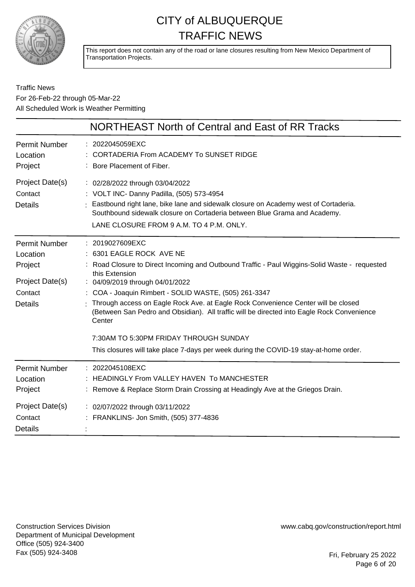

This report does not contain any of the road or lane closures resulting from New Mexico Department of Transportation Projects.

|                                                                                             | NORTHEAST North of Central and East of RR Tracks                                                                                                                                                                                                                                                                                                                                                                                                                                                                                                                                           |
|---------------------------------------------------------------------------------------------|--------------------------------------------------------------------------------------------------------------------------------------------------------------------------------------------------------------------------------------------------------------------------------------------------------------------------------------------------------------------------------------------------------------------------------------------------------------------------------------------------------------------------------------------------------------------------------------------|
| <b>Permit Number</b><br>Location<br>Project                                                 | : 2022045059EXC<br>CORTADERIA From ACADEMY To SUNSET RIDGE<br>: Bore Placement of Fiber.                                                                                                                                                                                                                                                                                                                                                                                                                                                                                                   |
| Project Date(s)<br>Contact<br><b>Details</b>                                                | : 02/28/2022 through 03/04/2022<br>: VOLT INC- Danny Padilla, (505) 573-4954<br>: Eastbound right lane, bike lane and sidewalk closure on Academy west of Cortaderia.<br>Southbound sidewalk closure on Cortaderia between Blue Grama and Academy.<br>LANE CLOSURE FROM 9 A.M. TO 4 P.M. ONLY.                                                                                                                                                                                                                                                                                             |
| <b>Permit Number</b><br>Location<br>Project<br>Project Date(s)<br>Contact<br><b>Details</b> | : 2019027609EXC<br>: 6301 EAGLE ROCK AVE NE<br>: Road Closure to Direct Incoming and Outbound Traffic - Paul Wiggins-Solid Waste - requested<br>this Extension<br>: 04/09/2019 through 04/01/2022<br>: COA - Joaquin Rimbert - SOLID WASTE, (505) 261-3347<br>Through access on Eagle Rock Ave. at Eagle Rock Convenience Center will be closed<br>(Between San Pedro and Obsidian). All traffic will be directed into Eagle Rock Convenience<br>Center<br>7:30AM TO 5:30PM FRIDAY THROUGH SUNDAY<br>This closures will take place 7-days per week during the COVID-19 stay-at-home order. |
| <b>Permit Number</b><br>Location<br>Project<br>Project Date(s)<br>Contact<br><b>Details</b> | : 2022045108EXC<br><b>HEADINGLY From VALLEY HAVEN To MANCHESTER</b><br>: Remove & Replace Storm Drain Crossing at Headingly Ave at the Griegos Drain.<br>: 02/07/2022 through 03/11/2022<br>: FRANKLINS- Jon Smith, (505) 377-4836                                                                                                                                                                                                                                                                                                                                                         |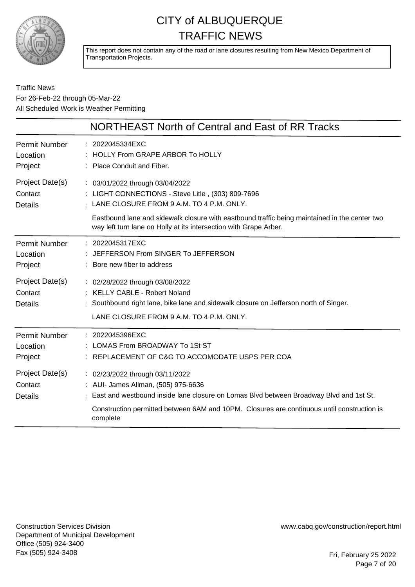

This report does not contain any of the road or lane closures resulting from New Mexico Department of Transportation Projects.

#### Traffic News For 26-Feb-22 through 05-Mar-22 All Scheduled Work is Weather Permitting

|                                              | NORTHEAST North of Central and East of RR Tracks                                                                                                                                                                                                                             |
|----------------------------------------------|------------------------------------------------------------------------------------------------------------------------------------------------------------------------------------------------------------------------------------------------------------------------------|
| <b>Permit Number</b>                         | : 2022045334EXC                                                                                                                                                                                                                                                              |
| Location                                     | : HOLLY From GRAPE ARBOR To HOLLY                                                                                                                                                                                                                                            |
| Project                                      | : Place Conduit and Fiber.                                                                                                                                                                                                                                                   |
| Project Date(s)                              | : 03/01/2022 through 03/04/2022                                                                                                                                                                                                                                              |
| Contact                                      | LIGHT CONNECTIONS - Steve Litle, (303) 809-7696                                                                                                                                                                                                                              |
| Details                                      | $\pm$ LANE CLOSURE FROM 9 A.M. TO 4 P.M. ONLY.                                                                                                                                                                                                                               |
|                                              | Eastbound lane and sidewalk closure with eastbound traffic being maintained in the center two<br>way left turn lane on Holly at its intersection with Grape Arber.                                                                                                           |
| <b>Permit Number</b>                         | : 2022045317EXC                                                                                                                                                                                                                                                              |
| Location                                     | : JEFFERSON From SINGER To JEFFERSON                                                                                                                                                                                                                                         |
| Project                                      | : Bore new fiber to address                                                                                                                                                                                                                                                  |
| Project Date(s)<br>Contact<br><b>Details</b> | : 02/28/2022 through 03/08/2022<br>: KELLY CABLE - Robert Noland<br>Southbound right lane, bike lane and sidewalk closure on Jefferson north of Singer.<br>LANE CLOSURE FROM 9 A.M. TO 4 P.M. ONLY.                                                                          |
| <b>Permit Number</b>                         | : 2022045396EXC                                                                                                                                                                                                                                                              |
| Location                                     | : LOMAS From BROADWAY To 1St ST                                                                                                                                                                                                                                              |
| Project                                      | REPLACEMENT OF C&G TO ACCOMODATE USPS PER COA                                                                                                                                                                                                                                |
| Project Date(s)<br>Contact<br><b>Details</b> | : 02/23/2022 through 03/11/2022<br>: AUI- James Allman, (505) 975-6636<br>: East and westbound inside lane closure on Lomas Blvd between Broadway Blvd and 1st St.<br>Construction permitted between 6AM and 10PM. Closures are continuous until construction is<br>complete |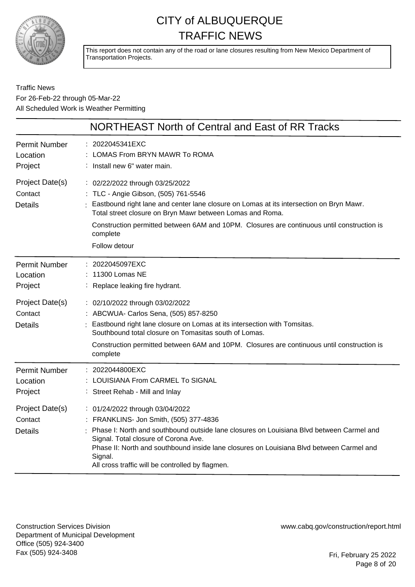

This report does not contain any of the road or lane closures resulting from New Mexico Department of Transportation Projects.

Traffic News For 26-Feb-22 through 05-Mar-22 All Scheduled Work is Weather Permitting

|                                              | NORTHEAST North of Central and East of RR Tracks                                                                                                                                                                                                                                                                                                                         |
|----------------------------------------------|--------------------------------------------------------------------------------------------------------------------------------------------------------------------------------------------------------------------------------------------------------------------------------------------------------------------------------------------------------------------------|
| <b>Permit Number</b><br>Location<br>Project  | 2022045341EXC<br>LOMAS From BRYN MAWR To ROMA<br>: Install new 6" water main.                                                                                                                                                                                                                                                                                            |
| Project Date(s)<br>Contact<br><b>Details</b> | : 02/22/2022 through 03/25/2022<br>: TLC - Angie Gibson, (505) 761-5546<br>Eastbound right lane and center lane closure on Lomas at its intersection on Bryn Mawr.<br>Total street closure on Bryn Mawr between Lomas and Roma.<br>Construction permitted between 6AM and 10PM. Closures are continuous until construction is<br>complete<br>Follow detour               |
| <b>Permit Number</b><br>Location<br>Project  | : 2022045097EXC<br>11300 Lomas NE<br>: Replace leaking fire hydrant.                                                                                                                                                                                                                                                                                                     |
| Project Date(s)<br>Contact<br><b>Details</b> | : 02/10/2022 through 03/02/2022<br>: ABCWUA- Carlos Sena, (505) 857-8250<br>Eastbound right lane closure on Lomas at its intersection with Tomsitas.<br>Southbound total closure on Tomasitas south of Lomas.<br>Construction permitted between 6AM and 10PM. Closures are continuous until construction is<br>complete                                                  |
| <b>Permit Number</b><br>Location<br>Project  | 2022044800EXC<br>LOUISIANA From CARMEL To SIGNAL<br>Street Rehab - Mill and Inlay                                                                                                                                                                                                                                                                                        |
| Project Date(s)<br>Contact<br><b>Details</b> | : 01/24/2022 through 03/04/2022<br>: FRANKLINS- Jon Smith, (505) 377-4836<br>Phase I: North and southbound outside lane closures on Louisiana Blvd between Carmel and<br>Signal. Total closure of Corona Ave.<br>Phase II: North and southbound inside lane closures on Louisiana Blvd between Carmel and<br>Signal.<br>All cross traffic will be controlled by flagmen. |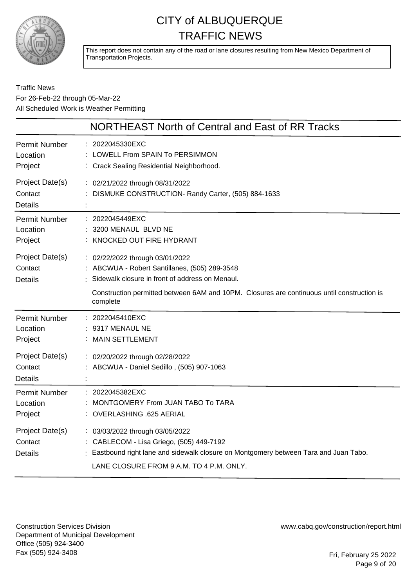

This report does not contain any of the road or lane closures resulting from New Mexico Department of Transportation Projects.

#### Traffic News For 26-Feb-22 through 05-Mar-22 All Scheduled Work is Weather Permitting

|                                              | NORTHEAST North of Central and East of RR Tracks                                                                                                                                                                                                |
|----------------------------------------------|-------------------------------------------------------------------------------------------------------------------------------------------------------------------------------------------------------------------------------------------------|
| <b>Permit Number</b><br>Location<br>Project  | : 2022045330EXC<br>LOWELL From SPAIN To PERSIMMON<br>: Crack Sealing Residential Neighborhood.                                                                                                                                                  |
| Project Date(s)<br>Contact<br><b>Details</b> | : 02/21/2022 through 08/31/2022<br>: DISMUKE CONSTRUCTION- Randy Carter, (505) 884-1633                                                                                                                                                         |
| <b>Permit Number</b><br>Location<br>Project  | : 2022045449EXC<br>3200 MENAUL BLVD NE<br>: KNOCKED OUT FIRE HYDRANT                                                                                                                                                                            |
| Project Date(s)<br>Contact<br><b>Details</b> | : 02/22/2022 through 03/01/2022<br>: ABCWUA - Robert Santillanes, (505) 289-3548<br>: Sidewalk closure in front of address on Menaul.<br>Construction permitted between 6AM and 10PM. Closures are continuous until construction is<br>complete |
| <b>Permit Number</b><br>Location<br>Project  | : 2022045410EXC<br>9317 MENAUL NE<br>: MAIN SETTLEMENT                                                                                                                                                                                          |
| Project Date(s)<br>Contact<br><b>Details</b> | : 02/20/2022 through 02/28/2022<br>: ABCWUA - Daniel Sedillo, (505) 907-1063                                                                                                                                                                    |
| <b>Permit Number</b><br>Location<br>Project  | : 2022045382EXC<br>MONTGOMERY From JUAN TABO To TARA<br>: OVERLASHING .625 AERIAL                                                                                                                                                               |
| Project Date(s)<br>Contact<br><b>Details</b> | : 03/03/2022 through 03/05/2022<br>: CABLECOM - Lisa Griego, (505) 449-7192<br>: Eastbound right lane and sidewalk closure on Montgomery between Tara and Juan Tabo.<br>LANE CLOSURE FROM 9 A.M. TO 4 P.M. ONLY.                                |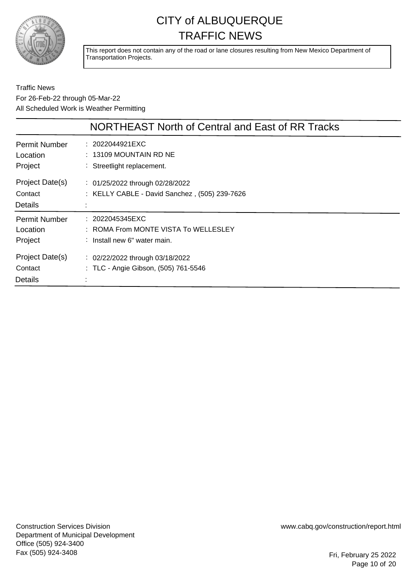

This report does not contain any of the road or lane closures resulting from New Mexico Department of Transportation Projects.

|                                              | NORTHEAST North of Central and East of RR Tracks                                        |
|----------------------------------------------|-----------------------------------------------------------------------------------------|
| <b>Permit Number</b><br>Location<br>Project  | : 2022044921EXC<br>$: 13109$ MOUNTAIN RD NE<br>: Streetlight replacement.               |
| Project Date(s)<br>Contact<br><b>Details</b> | : 01/25/2022 through 02/28/2022<br>: KELLY CABLE - David Sanchez, (505) 239-7626        |
| <b>Permit Number</b><br>Location<br>Project  | : 2022045345EXC<br>: ROMA From MONTE VISTA To WELLESLEY<br>: Install new 6" water main. |
| Project Date(s)<br>Contact<br>Details        | $\therefore$ 02/22/2022 through 03/18/2022<br>: TLC - Angie Gibson, (505) 761-5546      |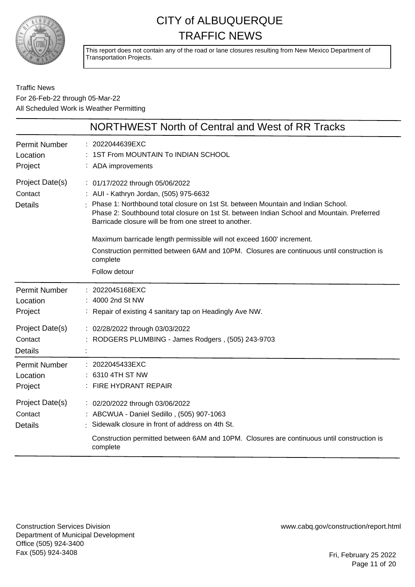

This report does not contain any of the road or lane closures resulting from New Mexico Department of Transportation Projects.

Traffic News For 26-Feb-22 through 05-Mar-22 All Scheduled Work is Weather Permitting

|                                              | NORTHWEST North of Central and West of RR Tracks                                                                                                                                                                                                                                                                     |
|----------------------------------------------|----------------------------------------------------------------------------------------------------------------------------------------------------------------------------------------------------------------------------------------------------------------------------------------------------------------------|
| <b>Permit Number</b><br>Location<br>Project  | 2022044639EXC<br>1ST From MOUNTAIN To INDIAN SCHOOL<br>: ADA improvements                                                                                                                                                                                                                                            |
| Project Date(s)<br>Contact<br><b>Details</b> | : 01/17/2022 through 05/06/2022<br>: AUI - Kathryn Jordan, (505) 975-6632<br>Phase 1: Northbound total closure on 1st St. between Mountain and Indian School.<br>Phase 2: Southbound total closure on 1st St. between Indian School and Mountain. Preferred<br>Barricade closure will be from one street to another. |
|                                              | Maximum barricade length permissible will not exceed 1600' increment.<br>Construction permitted between 6AM and 10PM. Closures are continuous until construction is<br>complete<br>Follow detour                                                                                                                     |
| <b>Permit Number</b><br>Location<br>Project  | 2022045168EXC<br>: 4000 2nd St NW<br>: Repair of existing 4 sanitary tap on Headingly Ave NW.                                                                                                                                                                                                                        |
| Project Date(s)<br>Contact<br><b>Details</b> | : 02/28/2022 through 03/03/2022<br>: RODGERS PLUMBING - James Rodgers, (505) 243-9703                                                                                                                                                                                                                                |
| <b>Permit Number</b><br>Location<br>Project  | : 2022045433EXC<br>: 6310 4TH ST NW<br>: FIRE HYDRANT REPAIR                                                                                                                                                                                                                                                         |
| Project Date(s)<br>Contact<br><b>Details</b> | : 02/20/2022 through 03/06/2022<br>: ABCWUA - Daniel Sedillo, (505) 907-1063<br>Sidewalk closure in front of address on 4th St.                                                                                                                                                                                      |
|                                              | Construction permitted between 6AM and 10PM. Closures are continuous until construction is<br>complete                                                                                                                                                                                                               |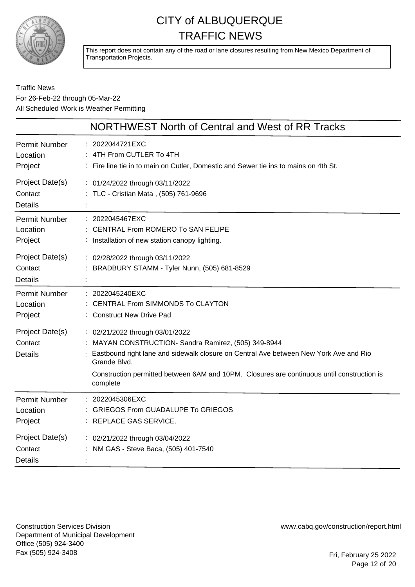

This report does not contain any of the road or lane closures resulting from New Mexico Department of Transportation Projects.

#### Traffic News For 26-Feb-22 through 05-Mar-22 All Scheduled Work is Weather Permitting

|                                              | NORTHWEST North of Central and West of RR Tracks                                                                                                                                                                                                                                                         |
|----------------------------------------------|----------------------------------------------------------------------------------------------------------------------------------------------------------------------------------------------------------------------------------------------------------------------------------------------------------|
| Permit Number<br>Location<br>Project         | : 2022044721EXC<br>4TH From CUTLER To 4TH<br>: Fire line tie in to main on Cutler, Domestic and Sewer tie ins to mains on 4th St.                                                                                                                                                                        |
| Project Date(s)<br>Contact<br><b>Details</b> | : 01/24/2022 through 03/11/2022<br>: TLC - Cristian Mata, (505) 761-9696                                                                                                                                                                                                                                 |
| Permit Number<br>Location<br>Project         | 2022045467EXC<br>: CENTRAL From ROMERO To SAN FELIPE<br>: Installation of new station canopy lighting.                                                                                                                                                                                                   |
| Project Date(s)<br>Contact<br><b>Details</b> | : 02/28/2022 through 03/11/2022<br>BRADBURY STAMM - Tyler Nunn, (505) 681-8529                                                                                                                                                                                                                           |
| Permit Number<br>Location<br>Project         | : 2022045240EXC<br><b>CENTRAL From SIMMONDS To CLAYTON</b><br>: Construct New Drive Pad                                                                                                                                                                                                                  |
| Project Date(s)<br>Contact<br><b>Details</b> | : 02/21/2022 through 03/01/2022<br>MAYAN CONSTRUCTION- Sandra Ramirez, (505) 349-8944<br>Eastbound right lane and sidewalk closure on Central Ave between New York Ave and Rio<br>Grande Blvd.<br>Construction permitted between 6AM and 10PM. Closures are continuous until construction is<br>complete |
| <b>Permit Number</b><br>Location<br>Project  | : 2022045306EXC<br><b>GRIEGOS From GUADALUPE To GRIEGOS</b><br>REPLACE GAS SERVICE.                                                                                                                                                                                                                      |
| Project Date(s)<br>Contact<br><b>Details</b> | : 02/21/2022 through 03/04/2022<br>NM GAS - Steve Baca, (505) 401-7540                                                                                                                                                                                                                                   |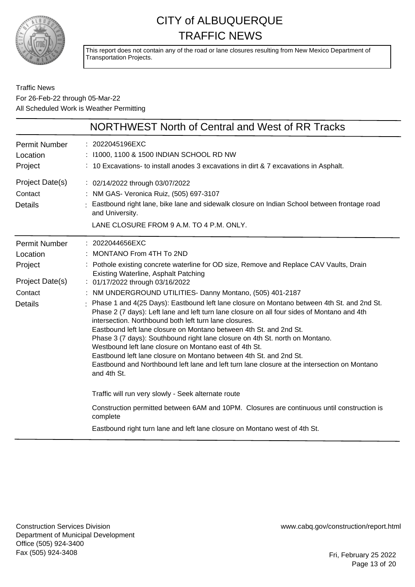

This report does not contain any of the road or lane closures resulting from New Mexico Department of Transportation Projects.

#### Traffic News For 26-Feb-22 through 05-Mar-22 All Scheduled Work is Weather Permitting

|                      | NORTHWEST North of Central and West of RR Tracks                                                                                                                                                                                                    |
|----------------------|-----------------------------------------------------------------------------------------------------------------------------------------------------------------------------------------------------------------------------------------------------|
| <b>Permit Number</b> | : 2022045196EXC                                                                                                                                                                                                                                     |
| Location             | : 11000, 1100 & 1500 INDIAN SCHOOL RD NW                                                                                                                                                                                                            |
| Project              | : 10 Excavations- to install anodes 3 excavations in dirt $\& 7$ excavations in Asphalt.                                                                                                                                                            |
| Project Date(s)      | : 02/14/2022 through 03/07/2022                                                                                                                                                                                                                     |
| Contact              | : NM GAS- Veronica Ruiz, (505) 697-3107                                                                                                                                                                                                             |
| <b>Details</b>       | Eastbound right lane, bike lane and sidewalk closure on Indian School between frontage road<br>and University.                                                                                                                                      |
|                      | LANE CLOSURE FROM 9 A.M. TO 4 P.M. ONLY.                                                                                                                                                                                                            |
| <b>Permit Number</b> | : 2022044656EXC                                                                                                                                                                                                                                     |
| Location             | : MONTANO From 4TH To 2ND                                                                                                                                                                                                                           |
| Project              | : Pothole existing concrete waterline for OD size, Remove and Replace CAV Vaults, Drain<br><b>Existing Waterline, Asphalt Patching</b>                                                                                                              |
| Project Date(s)      | : 01/17/2022 through 03/16/2022                                                                                                                                                                                                                     |
| Contact              | : NM UNDERGROUND UTILITIES- Danny Montano, (505) 401-2187                                                                                                                                                                                           |
| <b>Details</b>       | Phase 1 and 4(25 Days): Eastbound left lane closure on Montano between 4th St. and 2nd St.<br>Phase 2 (7 days): Left lane and left turn lane closure on all four sides of Montano and 4th<br>intersection. Northbound both left turn lane closures. |
|                      | Eastbound left lane closure on Montano between 4th St. and 2nd St.                                                                                                                                                                                  |
|                      | Phase 3 (7 days): Southbound right lane closure on 4th St. north on Montano.<br>Westbound left lane closure on Montano east of 4th St.                                                                                                              |
|                      | Eastbound left lane closure on Montano between 4th St. and 2nd St.                                                                                                                                                                                  |
|                      | Eastbound and Northbound left lane and left turn lane closure at the intersection on Montano<br>and 4th St.                                                                                                                                         |
|                      | Traffic will run very slowly - Seek alternate route                                                                                                                                                                                                 |
|                      | Construction permitted between 6AM and 10PM. Closures are continuous until construction is<br>complete                                                                                                                                              |
|                      | Eastbound right turn lane and left lane closure on Montano west of 4th St.                                                                                                                                                                          |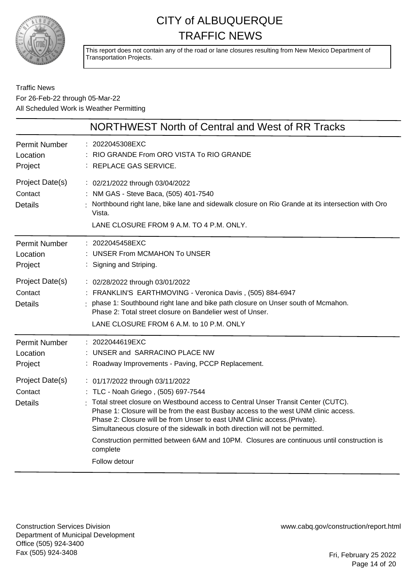

This report does not contain any of the road or lane closures resulting from New Mexico Department of Transportation Projects.

#### Traffic News For 26-Feb-22 through 05-Mar-22 All Scheduled Work is Weather Permitting

|                                              | NORTHWEST North of Central and West of RR Tracks                                                                                                                                                                                                                                                                                                                                                                                                                                                                                           |
|----------------------------------------------|--------------------------------------------------------------------------------------------------------------------------------------------------------------------------------------------------------------------------------------------------------------------------------------------------------------------------------------------------------------------------------------------------------------------------------------------------------------------------------------------------------------------------------------------|
| <b>Permit Number</b><br>Location<br>Project  | : 2022045308EXC<br>RIO GRANDE From ORO VISTA To RIO GRANDE<br>: REPLACE GAS SERVICE.                                                                                                                                                                                                                                                                                                                                                                                                                                                       |
| Project Date(s)<br>Contact<br><b>Details</b> | : 02/21/2022 through 03/04/2022<br>: NM GAS - Steve Baca, (505) 401-7540<br>Northbound right lane, bike lane and sidewalk closure on Rio Grande at its intersection with Oro<br>Vista.<br>LANE CLOSURE FROM 9 A.M. TO 4 P.M. ONLY.                                                                                                                                                                                                                                                                                                         |
| <b>Permit Number</b><br>Location<br>Project  | : 2022045458EXC<br>: UNSER From MCMAHON To UNSER<br>Signing and Striping.                                                                                                                                                                                                                                                                                                                                                                                                                                                                  |
| Project Date(s)<br>Contact<br><b>Details</b> | : 02/28/2022 through 03/01/2022<br>: FRANKLIN'S EARTHMOVING - Veronica Davis, (505) 884-6947<br>phase 1: Southbound right lane and bike path closure on Unser south of Mcmahon.<br>Phase 2: Total street closure on Bandelier west of Unser.<br>LANE CLOSURE FROM 6 A.M. to 10 P.M. ONLY                                                                                                                                                                                                                                                   |
| <b>Permit Number</b><br>Location<br>Project  | : 2022044619EXC<br>: UNSER and SARRACINO PLACE NW<br>: Roadway Improvements - Paving, PCCP Replacement.                                                                                                                                                                                                                                                                                                                                                                                                                                    |
| Project Date(s)<br>Contact<br><b>Details</b> | : 01/17/2022 through 03/11/2022<br>: TLC - Noah Griego, (505) 697-7544<br>Total street closure on Westbound access to Central Unser Transit Center (CUTC).<br>Phase 1: Closure will be from the east Busbay access to the west UNM clinic access.<br>Phase 2: Closure will be from Unser to east UNM Clinic access. (Private).<br>Simultaneous closure of the sidewalk in both direction will not be permitted.<br>Construction permitted between 6AM and 10PM. Closures are continuous until construction is<br>complete<br>Follow detour |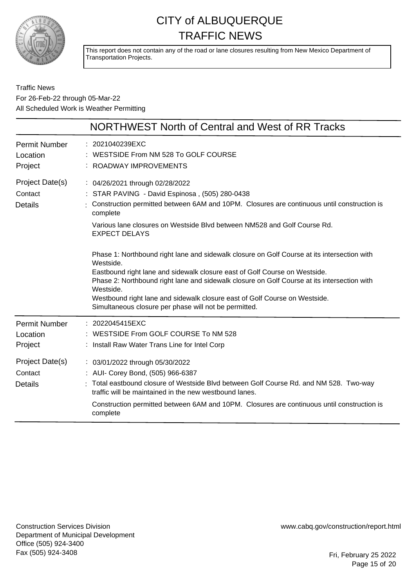

This report does not contain any of the road or lane closures resulting from New Mexico Department of Transportation Projects.

Traffic News For 26-Feb-22 through 05-Mar-22 All Scheduled Work is Weather Permitting

|                                                                | NORTHWEST North of Central and West of RR Tracks                                                                                                                                                                                                                                                                                                                                                                                                                                                                                                                                                                                                                                                                                           |
|----------------------------------------------------------------|--------------------------------------------------------------------------------------------------------------------------------------------------------------------------------------------------------------------------------------------------------------------------------------------------------------------------------------------------------------------------------------------------------------------------------------------------------------------------------------------------------------------------------------------------------------------------------------------------------------------------------------------------------------------------------------------------------------------------------------------|
| <b>Permit Number</b><br>Location<br>Project                    | : 2021040239EXC<br>WESTSIDE From NM 528 To GOLF COURSE<br>ROADWAY IMPROVEMENTS                                                                                                                                                                                                                                                                                                                                                                                                                                                                                                                                                                                                                                                             |
| Project Date(s)<br>Contact<br><b>Details</b>                   | : 04/26/2021 through 02/28/2022<br>STAR PAVING - David Espinosa, (505) 280-0438<br>Construction permitted between 6AM and 10PM. Closures are continuous until construction is<br>complete<br>Various lane closures on Westside Blyd between NM528 and Golf Course Rd.<br><b>EXPECT DELAYS</b><br>Phase 1: Northbound right lane and sidewalk closure on Golf Course at its intersection with<br>Westside.<br>Eastbound right lane and sidewalk closure east of Golf Course on Westside.<br>Phase 2: Northbound right lane and sidewalk closure on Golf Course at its intersection with<br>Westside.<br>Westbound right lane and sidewalk closure east of Golf Course on Westside.<br>Simultaneous closure per phase will not be permitted. |
| <b>Permit Number</b><br>Location<br>Project<br>Project Date(s) | : 2022045415EXC<br>: WESTSIDE From GOLF COURSE To NM 528<br>Install Raw Water Trans Line for Intel Corp<br>: 03/01/2022 through 05/30/2022                                                                                                                                                                                                                                                                                                                                                                                                                                                                                                                                                                                                 |
| Contact<br><b>Details</b>                                      | : AUI- Corey Bond, (505) 966-6387<br>: Total eastbound closure of Westside Blvd between Golf Course Rd. and NM 528. Two-way<br>traffic will be maintained in the new westbound lanes.<br>Construction permitted between 6AM and 10PM. Closures are continuous until construction is<br>complete                                                                                                                                                                                                                                                                                                                                                                                                                                            |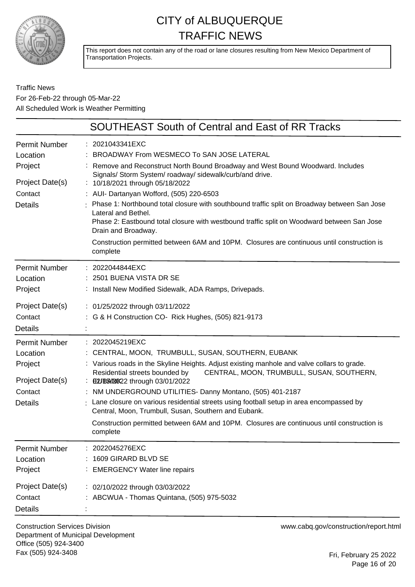

This report does not contain any of the road or lane closures resulting from New Mexico Department of Transportation Projects.

#### Traffic News For 26-Feb-22 through 05-Mar-22 All Scheduled Work is Weather Permitting

|                                                                                             | <b>SOUTHEAST South of Central and East of RR Tracks</b>                                                                                                                                                                                                                                                                                                                                                                                                                                                                                                                                                                                              |
|---------------------------------------------------------------------------------------------|------------------------------------------------------------------------------------------------------------------------------------------------------------------------------------------------------------------------------------------------------------------------------------------------------------------------------------------------------------------------------------------------------------------------------------------------------------------------------------------------------------------------------------------------------------------------------------------------------------------------------------------------------|
| Permit Number<br>Location<br>Project<br>Project Date(s)<br>Contact<br><b>Details</b>        | : 2021043341EXC<br>: BROADWAY From WESMECO To SAN JOSE LATERAL<br>: Remove and Reconstruct North Bound Broadway and West Bound Woodward. Includes<br>Signals/ Storm System/ roadway/ sidewalk/curb/and drive.<br>: 10/18/2021 through 05/18/2022<br>: AUI- Dartanyan Wofford, (505) 220-6503<br>: Phase 1: Northbound total closure with southbound traffic split on Broadway between San Jose<br>Lateral and Bethel.<br>Phase 2: Eastbound total closure with westbound traffic split on Woodward between San Jose<br>Drain and Broadway.<br>Construction permitted between 6AM and 10PM. Closures are continuous until construction is<br>complete |
| Permit Number<br>Location<br>Project<br>Project Date(s)<br>Contact<br><b>Details</b>        | : 2022044844EXC<br>: 2501 BUENA VISTA DR SE<br>: Install New Modified Sidewalk, ADA Ramps, Drivepads.<br>: 01/25/2022 through 03/11/2022<br>: G & H Construction CO- Rick Hughes, (505) 821-9173                                                                                                                                                                                                                                                                                                                                                                                                                                                     |
| Permit Number<br>Location<br>Project<br>Project Date(s)<br>Contact<br><b>Details</b>        | : 2022045219EXC<br>: CENTRAL, MOON, TRUMBULL, SUSAN, SOUTHERN, EUBANK<br>: Various roads in the Skyline Heights. Adjust existing manhole and valve collars to grade.<br>CENTRAL, MOON, TRUMBULL, SUSAN, SOUTHERN,<br>Residential streets bounded by<br>: ELUBEA/2022 through 03/01/2022<br>: NM UNDERGROUND UTILITIES- Danny Montano, (505) 401-2187<br>Lane closure on various residential streets using football setup in area encompassed by<br>Central, Moon, Trumbull, Susan, Southern and Eubank.<br>Construction permitted between 6AM and 10PM. Closures are continuous until construction is<br>complete                                    |
| <b>Permit Number</b><br>Location<br>Project<br>Project Date(s)<br>Contact<br><b>Details</b> | 2022045276EXC<br>1609 GIRARD BLVD SE<br><b>EMERGENCY Water line repairs</b><br>: 02/10/2022 through 03/03/2022<br>: ABCWUA - Thomas Quintana, (505) 975-5032                                                                                                                                                                                                                                                                                                                                                                                                                                                                                         |

Construction Services Division Department of Municipal Development Office (505) 924-3400 Fax (505) 924-3408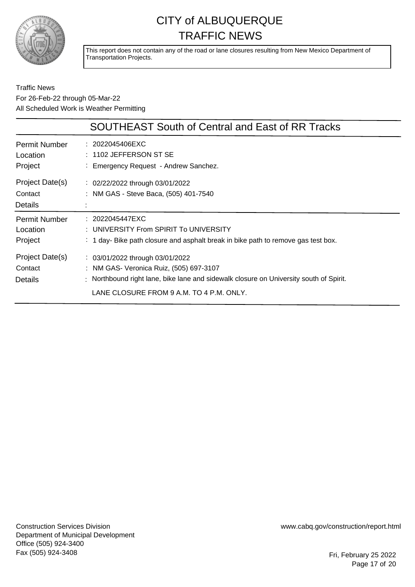

This report does not contain any of the road or lane closures resulting from New Mexico Department of Transportation Projects.

|                                              | <b>SOUTHEAST South of Central and East of RR Tracks</b>                                                                                                                                                                     |
|----------------------------------------------|-----------------------------------------------------------------------------------------------------------------------------------------------------------------------------------------------------------------------------|
| Permit Number<br>Location<br>Project         | : 2022045406EXC<br>$: 1102$ JEFFERSON ST SE<br>: Emergency Request - Andrew Sanchez.                                                                                                                                        |
| Project Date(s)<br>Contact<br><b>Details</b> | : 02/22/2022 through 03/01/2022<br>: NM GAS - Steve Baca, (505) 401-7540                                                                                                                                                    |
| <b>Permit Number</b><br>Location<br>Project  | : 2022045447EXC<br>: UNIVERSITY From SPIRIT To UNIVERSITY<br>: 1 day- Bike path closure and asphalt break in bike path to remove gas test box.                                                                              |
| Project Date(s)<br>Contact<br>Details        | $\therefore$ 03/01/2022 through 03/01/2022<br>: NM GAS- Veronica Ruiz, (505) 697-3107<br>: Northbound right lane, bike lane and sidewalk closure on University south of Spirit.<br>LANE CLOSURE FROM 9 A.M. TO 4 P.M. ONLY. |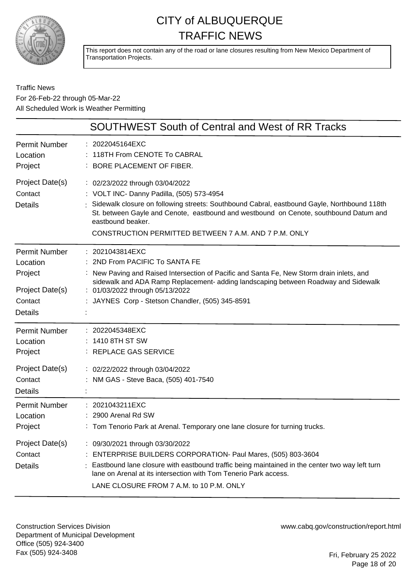

This report does not contain any of the road or lane closures resulting from New Mexico Department of Transportation Projects.

#### Traffic News For 26-Feb-22 through 05-Mar-22 All Scheduled Work is Weather Permitting

|                                                                                             | SOUTHWEST South of Central and West of RR Tracks                                                                                                                                                                                                                                                                                                   |
|---------------------------------------------------------------------------------------------|----------------------------------------------------------------------------------------------------------------------------------------------------------------------------------------------------------------------------------------------------------------------------------------------------------------------------------------------------|
| <b>Permit Number</b><br>Location<br>Project                                                 | 2022045164EXC<br>118TH From CENOTE To CABRAL<br>BORE PLACEMENT OF FIBER.                                                                                                                                                                                                                                                                           |
| Project Date(s)<br>Contact<br><b>Details</b>                                                | : 02/23/2022 through 03/04/2022<br>: VOLT INC- Danny Padilla, (505) 573-4954<br>Sidewalk closure on following streets: Southbound Cabral, eastbound Gayle, Northbound 118th<br>St. between Gayle and Cenote, eastbound and westbound on Cenote, southbound Datum and<br>eastbound beaker.<br>CONSTRUCTION PERMITTED BETWEEN 7 A.M. AND 7 P.M. ONLY |
| <b>Permit Number</b><br>Location<br>Project<br>Project Date(s)<br>Contact<br><b>Details</b> | : 2021043814EXC<br>2ND From PACIFIC To SANTA FE<br>: New Paving and Raised Intersection of Pacific and Santa Fe, New Storm drain inlets, and<br>sidewalk and ADA Ramp Replacement- adding landscaping between Roadway and Sidewalk<br>: 01/03/2022 through 05/13/2022<br>JAYNES Corp - Stetson Chandler, (505) 345-8591                            |
| <b>Permit Number</b><br>Location<br>Project<br>Project Date(s)<br>Contact<br><b>Details</b> | 2022045348EXC<br>1410 8TH ST SW<br>: REPLACE GAS SERVICE<br>: 02/22/2022 through 03/04/2022<br>NM GAS - Steve Baca, (505) 401-7540                                                                                                                                                                                                                 |
| <b>Permit Number</b><br>Location<br>Project                                                 | 2021043211EXC<br>2900 Arenal Rd SW<br>: Tom Tenorio Park at Arenal. Temporary one lane closure for turning trucks.                                                                                                                                                                                                                                 |
| Project Date(s)<br>Contact<br><b>Details</b>                                                | : 09/30/2021 through 03/30/2022<br>ENTERPRISE BUILDERS CORPORATION- Paul Mares, (505) 803-3604<br>Eastbound lane closure with eastbound traffic being maintained in the center two way left turn<br>lane on Arenal at its intersection with Tom Tenerio Park access.<br>LANE CLOSURE FROM 7 A.M. to 10 P.M. ONLY                                   |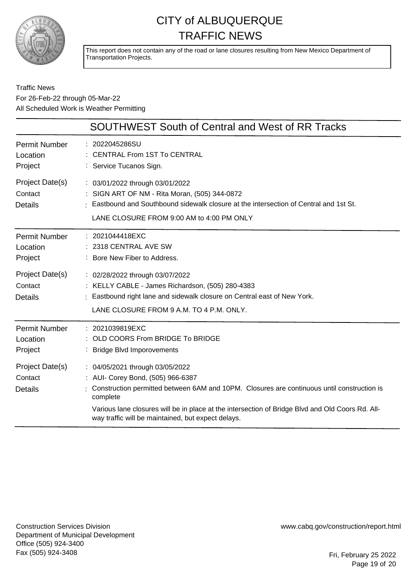

This report does not contain any of the road or lane closures resulting from New Mexico Department of Transportation Projects.

Traffic News For 26-Feb-22 through 05-Mar-22 All Scheduled Work is Weather Permitting

|                                              | <b>SOUTHWEST South of Central and West of RR Tracks</b>                                                                                                                                                                                                                                                                                  |
|----------------------------------------------|------------------------------------------------------------------------------------------------------------------------------------------------------------------------------------------------------------------------------------------------------------------------------------------------------------------------------------------|
| <b>Permit Number</b><br>Location<br>Project  | 2022045286SU<br><b>CENTRAL From 1ST To CENTRAL</b><br>: Service Tucanos Sign.                                                                                                                                                                                                                                                            |
| Project Date(s)<br>Contact<br><b>Details</b> | : 03/01/2022 through 03/01/2022<br>: SIGN ART OF NM - Rita Moran, (505) 344-0872<br>Eastbound and Southbound sidewalk closure at the intersection of Central and 1st St.<br>LANE CLOSURE FROM 9:00 AM to 4:00 PM ONLY                                                                                                                    |
| <b>Permit Number</b><br>Location<br>Project  | : 2021044418EXC<br>2318 CENTRAL AVE SW<br>: Bore New Fiber to Address.                                                                                                                                                                                                                                                                   |
| Project Date(s)<br>Contact<br><b>Details</b> | : 02/28/2022 through 03/07/2022<br>: KELLY CABLE - James Richardson, (505) 280-4383<br>: Eastbound right lane and sidewalk closure on Central east of New York.<br>LANE CLOSURE FROM 9 A.M. TO 4 P.M. ONLY.                                                                                                                              |
| <b>Permit Number</b><br>Location<br>Project  | : 2021039819EXC<br>: OLD COORS From BRIDGE To BRIDGE<br>: Bridge Blvd Imporovements                                                                                                                                                                                                                                                      |
| Project Date(s)<br>Contact<br><b>Details</b> | : 04/05/2021 through 03/05/2022<br>: AUI- Corey Bond, (505) 966-6387<br>Construction permitted between 6AM and 10PM. Closures are continuous until construction is<br>complete<br>Various lane closures will be in place at the intersection of Bridge Blvd and Old Coors Rd. All-<br>way traffic will be maintained, but expect delays. |